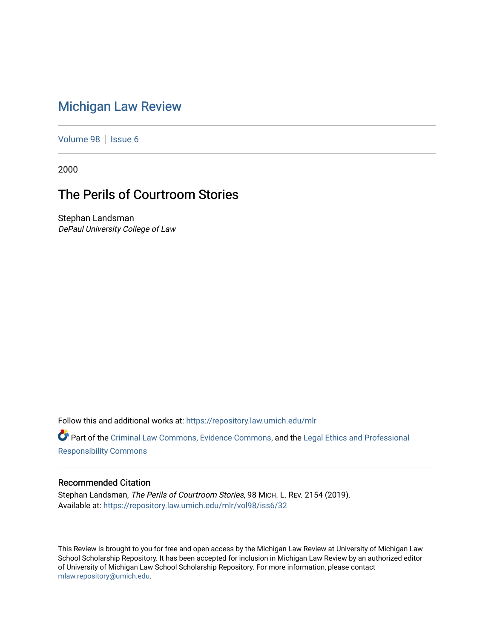## [Michigan Law Review](https://repository.law.umich.edu/mlr)

[Volume 98](https://repository.law.umich.edu/mlr/vol98) | [Issue 6](https://repository.law.umich.edu/mlr/vol98/iss6)

2000

# The Perils of Courtroom Stories

Stephan Landsman DePaul University College of Law

Follow this and additional works at: [https://repository.law.umich.edu/mlr](https://repository.law.umich.edu/mlr?utm_source=repository.law.umich.edu%2Fmlr%2Fvol98%2Fiss6%2F32&utm_medium=PDF&utm_campaign=PDFCoverPages) 

Part of the [Criminal Law Commons,](http://network.bepress.com/hgg/discipline/912?utm_source=repository.law.umich.edu%2Fmlr%2Fvol98%2Fiss6%2F32&utm_medium=PDF&utm_campaign=PDFCoverPages) [Evidence Commons](http://network.bepress.com/hgg/discipline/601?utm_source=repository.law.umich.edu%2Fmlr%2Fvol98%2Fiss6%2F32&utm_medium=PDF&utm_campaign=PDFCoverPages), and the Legal Ethics and Professional [Responsibility Commons](http://network.bepress.com/hgg/discipline/895?utm_source=repository.law.umich.edu%2Fmlr%2Fvol98%2Fiss6%2F32&utm_medium=PDF&utm_campaign=PDFCoverPages) 

## Recommended Citation

Stephan Landsman, The Perils of Courtroom Stories, 98 MICH. L. REV. 2154 (2019). Available at: [https://repository.law.umich.edu/mlr/vol98/iss6/32](https://repository.law.umich.edu/mlr/vol98/iss6/32?utm_source=repository.law.umich.edu%2Fmlr%2Fvol98%2Fiss6%2F32&utm_medium=PDF&utm_campaign=PDFCoverPages) 

This Review is brought to you for free and open access by the Michigan Law Review at University of Michigan Law School Scholarship Repository. It has been accepted for inclusion in Michigan Law Review by an authorized editor of University of Michigan Law School Scholarship Repository. For more information, please contact [mlaw.repository@umich.edu.](mailto:mlaw.repository@umich.edu)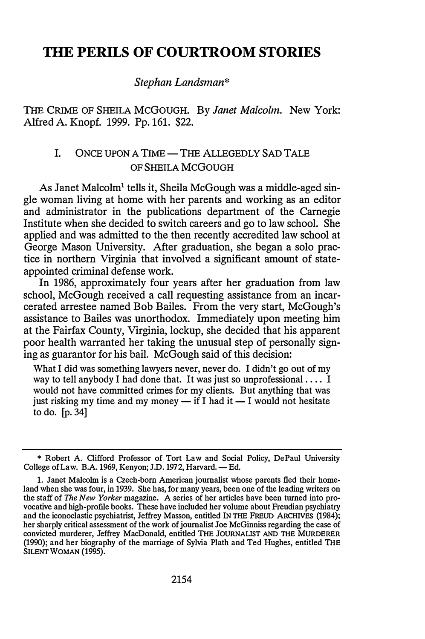## THE PERILS OF COURTROOM STORIES

### Stephan Landsman\*

THE CRIME OF SHEILA MCGOUGH. By Janet Malcolm. New York: Alfred A. Knopf. 1999. Pp. 161. \$22.

## I. ONCE UPON A TIME - THE ALLEGEDLY SAD TALE OF SHEILA MCGOUGH

As Janet Malcolm<sup>1</sup> tells it, Sheila McGough was a middle-aged single woman living at home with her parents and working as an editor and administrator in the publications department of the Carnegie Institute when she decided to switch careers and go to law school. She applied and was admitted to the then recently accredited law school at George Mason University. After graduation, she began a solo practice in northern Virginia that involved a significant amount of stateappointed criminal defense work.

In 1986, approximately four years after her graduation from law school, McGough received a call requesting assistance from an incarcerated arrestee named Bob Bailes. From the very start, McGough's assistance to Bailes was unorthodox. Immediately upon meeting him at the Fairfax County, Virginia, lockup, she decided that his apparent poor health warranted her taking the unusual step of personally signing as guarantor for his bail. McGough said of this decision:

What I did was something lawyers never, never do. I didn't go out of my way to tell anybody I had done that. It was just so unprofessional  $\dots$  I would not have committed crimes for my clients. But anything that was just risking my time and my money  $-$  if I had it  $-$  I would not hesitate to do. [p. 34]

<sup>\*</sup> Robert A. Clifford Professor of Tort Law and Social Policy, DePaul University College of Law. B.A. 1969, Kenyon; J.D. 1972, Harvard. - Ed.

<sup>1.</sup> Janet Malcolm is a Czech-born American journalist whose parents fled their homeland when she was four, in 1939. She has, for many years, been one of the leading writers on the staff of The New Yorker magazine. A series of her articles have been turned into provocative and high-profile books. These have included her volume about Freudian psychiatry and the iconoclastic psychiatrist, Jeffrey Masson, entitled IN THE FREUD ARCHIVES (1984); her sharply critical assessment of the work of journalist Joe McGinniss regarding the case of convicted murderer, Jeffrey MacDonald, entitled THE JOURNALIST AND TIIE MURDERER (1990); and her biography of the marriage of Sylvia Plafu and Ted Hughes, entitled THE SILENT WOMAN (1995).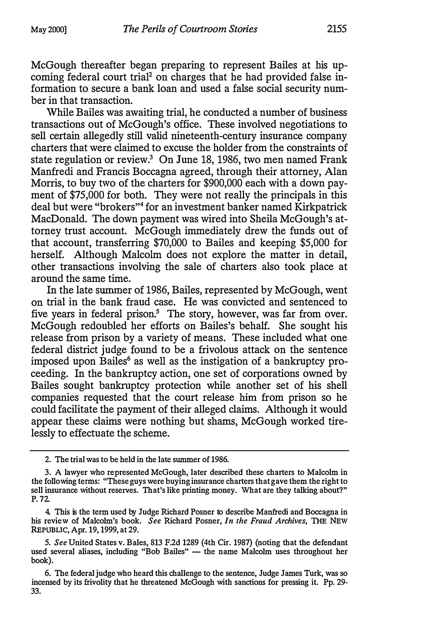McGough thereafter began preparing to represent Bailes at his upcoming federal court trial<sup>2</sup> on charges that he had provided false information to secure a bank loan and used a false social security number in that transaction.

While Bailes was awaiting trial, he conducted a number of business transactions out of McGough's office. These involved negotiations to sell certain allegedly still valid nineteenth-century insurance company charters that were claimed to excuse the holder from the constraints of state regulation or review.<sup>3</sup> On June 18, 1986, two men named Frank Manfredi and Francis Boccagna agreed, through their attorney, Alan Morris, to buy two of the charters for \$900,000 each with a down payment of \$75,000 for both. They were not really the principals in this deal but were "brokers"4 for an investment banker named Kirkpatrick MacDonald. The down payment was wired into Sheila McGough's attorney trust account. McGough immediately drew the funds out of that account, transferring \$70,000 to Bailes and keeping \$5,000 for herself. Although Malcolm does not explore the matter in detail, other transactions involving the sale of charters also took place at around the same time.

In the late summer of 1986, Bailes, represented by McGough, went on trial in the bank fraud case. He was convicted and sentenced to five years in federal prison.<sup>5</sup> The story, however, was far from over. McGough redoubled her efforts on Bailes's behalf. She sought his release from prison by a variety of means. These included what one federal district judge found to be a frivolous attack on the sentence imposed upon Bailes<sup>6</sup> as well as the instigation of a bankruptcy proceeding. In the bankruptcy action, one set of corporations owned by Bailes sought bankruptcy protection while another set of his shell companies requested that the court release him from prison so he could facilitate the payment of their alleged claims. Although it would appear these claims were nothing but shams, McGough worked tirelessly to effectuate the scheme.

<sup>2.</sup> The trial was to be held in the late summer of 1986.

<sup>3.</sup> A lawyer who represented McGough, later described these charters to Malcolm in the following terms: "These guys were buying insurance charters that gave them the right to sell insurance without reserves. That's like printing money. What are they talking about?" P. 72.

<sup>4.</sup> This is the term used by Judge Richard Posner to describe Manfredi and Boccagna in his review of Malcolm's book. See Richard Posner, In the Fraud Archives, THE NEW REPUBLIC, Apr. 19, 1999, at 29.

<sup>5.</sup> See United States v. Bales, 813 F.2d 1289 (4th Cir. 1987) (noting that the defendant used several aliases, including "Bob Bailes" - the name Malcolm uses throughout her book).

<sup>6.</sup> The federal judge who heard this challenge to the sentence, Judge James Turk, was so incensed by its frivolity that he threatened McGough with sanctions for pressing it. Pp. 29- 33.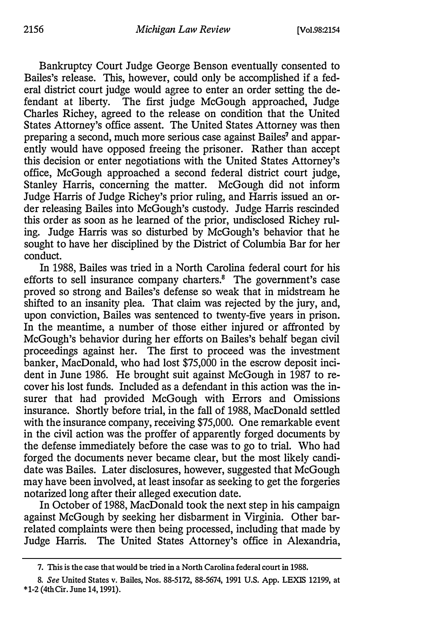Bankruptcy Court Judge George Benson eventually consented to Bailes's release. This, however, could only be accomplished if a federal district court judge would agree to enter an order setting the defendant at liberty. The first judge McGough approached, Judge Charles Richey, agreed to the release on condition that the United States Attorney's office assent. The United States Attorney was then preparing a second, much more serious case against Bailes<sup>7</sup> and apparently would have opposed freeing the prisoner. Rather than accept this decision or enter negotiations with the United States Attorney's office, McGough approached a second federal district court judge, Stanley Harris, concerning the matter. McGough did not inform Judge Harris of Judge Richey's prior ruling, and Harris issued an order releasing Bailes into McGough's custody. Judge Harris rescinded this order as soon as he learned of the prior, undisclosed Richey ruling. Judge Harris was so disturbed by McGough's behavior that he sought to have her disciplined by the District of Columbia Bar for her conduct.

In 1988, Bailes was tried in a North Carolina federal court for his efforts to sell insurance company charters.<sup>8</sup> The government's case proved so strong and Bailes's defense so weak that in midstream he shifted to an insanity plea. That claim was rejected by the jury, and, upon conviction, Bailes was sentenced to twenty-five years in prison. In the meantime, a number of those either injured or affronted by McGough's behavior during her efforts on Bailes's behalf began civil proceedings against her. The first to proceed was the investment banker, MacDonald, who had lost \$75,000 in the escrow deposit incident in June 1986. He brought suit against McGough in 1987 to recover his lost funds. Included as a defendant in this action was the insurer that had provided McGough with Errors and Omissions insurance. Shortly before trial, in the fall of 1988, MacDonald settled with the insurance company, receiving \$75,000. One remarkable event in the civil action was the proffer of apparently forged documents by the defense immediately before the case was to go to trial. Who had forged the documents never became clear, but the most likely candidate was Bailes. Later disclosures, however, suggested that McGough may have been involved, at least insofar as seeking to get the forgeries notarized long after their alleged execution date.

In October of 1988, MacDonald took the next step in his campaign against McGough by seeking her disbarment in Virginia. Other barrelated complaints were then being processed, including that made by Judge Harris. The United States Attorney's office in Alexandria,

<sup>7.</sup> This is the case that would be tried in a North Carolina federal court in 1988.

<sup>8.</sup> See United States v. Bailes, Nos. 88-5172, 88-5674, 1991 U.S. App. LEXIS 12199, at \*1-2 (4th Cir. June 14, 1991).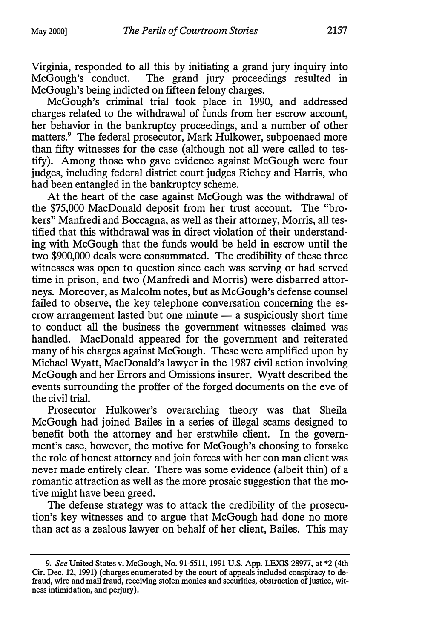Virginia, responded to all this by initiating a grand jury inquiry into McGough's conduct. The grand jury proceedings resulted in McGough's being indicted on fifteen felony charges.

McGough's criminal trial took place in 1990, and addressed charges related to the withdrawal of funds from her escrow account, her behavior in the bankruptcy proceedings, and a number of other matters.<sup>9</sup> The federal prosecutor, Mark Hulkower, subpoenaed more than fifty witnesses for the case (although not all were called to testify). Among those who gave evidence against McGough were four judges, including federal district court judges Richey and Harris, who had been entangled in the bankruptcy scheme.

At the heart of the case against McGough was the withdrawal of the \$75,000 MacDonald deposit from her trust account. The "brokers" Manfredi and Boccagna, as well as their attorney, Morris, all testified that this withdrawal was in direct violation of their understanding with McGough that the funds would be held in escrow until the two \$900,000 deals were consummated. The credibility of these three witnesses was open to question since each was serving or had served time in prison, and two (Manfredi and Morris) were disbarred attorneys. Moreover, as Malcolm notes, but as McGough's defense counsel failed to observe, the key telephone conversation concerning the escrow arrangement lasted but one minute  $-$  a suspiciously short time to conduct all the business the government witnesses claimed was handled. MacDonald appeared for the government and reiterated many of his charges against McGough. These were amplified upon by Michael Wyatt, MacDonald's lawyer in the 1987 civil action involving McGough and her Errors and Omissions insurer. Wyatt described the events surrounding the proffer of the forged documents on the eve of the civil trial.

Prosecutor Hulkower's overarching theory was that Sheila McGough had joined Bailes in a series of illegal scams designed to benefit both the attorney and her erstwhile client. In the government's case, however, the motive for McGough's choosing to forsake the role of honest attorney and join forces with her con man client was never made entirely clear. There was some evidence (albeit thin) of a romantic attraction as well as the more prosaic suggestion that the motive might have been greed.

The defense strategy was to attack the credibility of the prosecution's key witnesses and to argue that McGough had done no more than act as a zealous lawyer on behalf of her client, Bailes. This may

<sup>9.</sup> See United States v. McGough, No. 91-5511, 1991 U.S. App. LEXIS 28977, at \*2 (4th Cir. Dec. 12, 1991) (charges enumerated by the court of appeals included conspiracy to defraud, wire and mail fraud, receiving stolen monies and securities, obstruction of justice, witness intimidation, and perjury).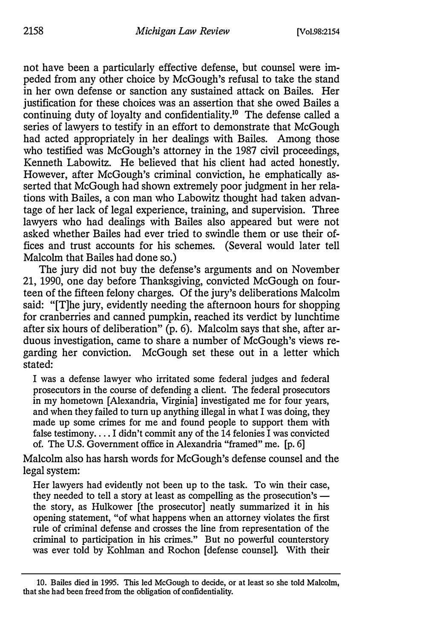not have been a particularly effective defense, but counsel were impeded from any other choice by McGough's refusal to take the stand in her own defense or sanction any sustained attack on Bailes. Her justification for these choices was an assertion that she owed Bailes a continuing duty of loyalty and confidentiality.10 The defense called a series of lawyers to testify in an effort to demonstrate that McGough had acted appropriately in her dealings with Bailes. Among those who testified was McGough's attorney in the 1987 civil proceedings, Kenneth Labowitz. He believed that his client had acted honestly. However, after McGough's criminal conviction, he emphatically asserted that McGough had shown extremely poor judgment in her relations with Bailes, a con man who Labowitz thought had taken advantage of her lack of legal experience, training, and supervision. Three lawyers who had dealings with Bailes also appeared but were not asked whether Bailes had ever tried to swindle them or use their offices and trust accounts for his schemes. (Several would later tell Malcolm that Bailes had done so.)

The jury did not buy the defense's arguments and on November 21, 1990, one day before Thanksgiving, convicted McGough on fourteen of the fifteen felony charges. Of the jury's deliberations Malcolm said: "[T]he jury, evidently needing the afternoon hours for shopping for cranberries and canned pumpkin, reached its verdict by lunchtime after six hours of deliberation" (p. 6). Malcolm says that she, after arduous investigation, came to share a number of McGough's views regarding her conviction. McGough set these out in a letter which stated:

I was a defense lawyer who irritated some federal judges and federal prosecutors in the course of defending a client. The federal prosecutors in my hometown [Alexandria, Virginia] investigated me for four years, and when they failed to tum up anything illegal in what I was doing, they made up some crimes for me and found people to support them with false testimony.... I didn't commit any of the 14 felonies I was convicted of. The U.S. Government office in Alexandria "framed" me. [p. 6]

Malcolm also has harsh words for McGough's defense counsel and the legal system:

Her lawyers had evidently not been up to the task. To win their case, they needed to tell a story at least as compelling as the prosecution's the story, as Hulkower [the prosecutor] neatly summarized it in his opening statement, "of what happens when an attorney violates the first rule of criminal defense and crosses the line from representation of the criminal to participation in his crimes." But no powerful counterstory was ever told by Kohlman and Rochon [defense counsel]. With their

<sup>10.</sup> Bailes died in 1995. This led McGough to decide, or at least so she told Malcolm, that she had been freed from the obligation of confidentiality.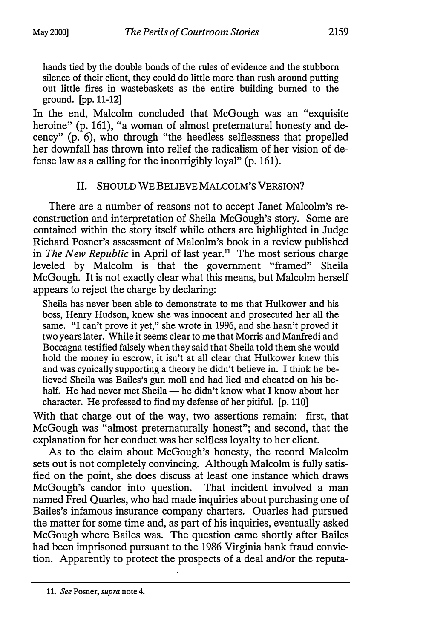hands tied by the double bonds of the rules of evidence and the stubborn silence of their client, they could do little more than rush around putting out little fires in wastebaskets as the entire building burned to the ground. [pp. 11-12]

In the end, Malcolm concluded that McGough was an "exquisite heroine" (p. 161), "a woman of almost preternatural honesty and decency" (p. 6), who through "the heedless selflessness that propelled her downfall has thrown into relief the radicalism of her vision of defense law as a calling for the incorrigibly loyal" (p. 161).

## II. SHOULD WE BELIEVE MALCOLM'S VERSION?

There are a number of reasons not to accept Janet Malcolm's reconstruction and interpretation of Sheila McGough's story. Some are contained within the story itself while others are highlighted in Judge Richard Posner's assessment of Malcolm's book in a review published in The New Republic in April of last year.<sup>11</sup> The most serious charge leveled by Malcolm is that the government "framed" Sheila McGough. It is not exactly clear what this means, but Malcolm herself appears to reject the charge by declaring:

Sheila has never been able to demonstrate to me that Hulkower and his boss, Henry Hudson, knew she was innocent and prosecuted her all the same. "I can't prove it yet," she wrote in 1996, and she hasn't proved it two years later. While it seems clear to me that Morris and Manfredi and Boccagna testified falsely when they said that Sheila told them she would hold the money in escrow, it isn't at all clear that Hulkower knew this and was cynically supporting a theory he didn't believe in. I think he believed Sheila was Bailes's gun moll and had lied and cheated on his behalf. He had never met Sheila — he didn't know what I know about her character. He professed to find my defense of her pitiful. [p. 110]

With that charge out of the way, two assertions remain: first, that McGough was "almost preternaturally honest"; and second, that the explanation for her conduct was her selfless loyalty to her client.

As to the claim about McGough's honesty, the record Malcolm sets out is not completely convincing. Although Malcolm is fully satisfied on the point, she does discuss at least one instance which draws McGough's candor into question. That incident involved a man named Fred Quarles, who had made inquiries about purchasing one of Bailes's infamous insurance company charters. Quarles had pursued the matter for some time and, as part of his inquiries, eventually asked McGough where Bailes was. The question came shortly after Bailes had been imprisoned pursuant to the 1986 Virginia bank fraud conviction. Apparently to protect the prospects of a deal and/or the reputa-

<sup>11.</sup> See Posner, supra note 4.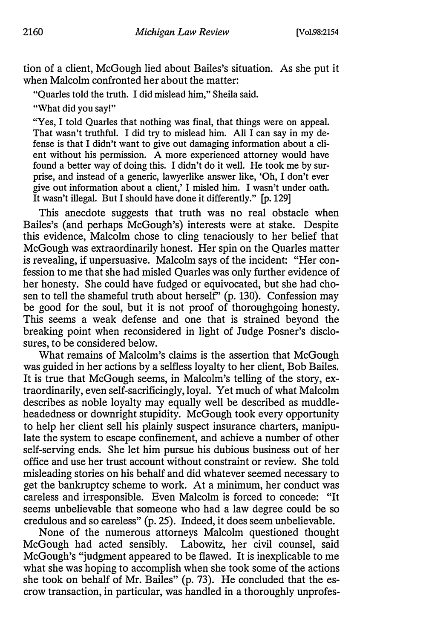tion of a client, McGough lied about Bailes's situation. As she put it when Malcolm confronted her about the matter:

"Quarles told the truth. I did mislead him," Sheila said.

"What did you say!"

"Yes, I told Quarles that nothing was final, that things were on appeal. That wasn't truthful. I did try to mislead him. All I can say in my defense is that I didn't want to give out damaging information about a client without his permission. A more experienced attorney would have found a better way of doing this. I didn't do it well. He took me by surprise, and instead of a generic, lawyerlike answer like, 'Oh, I don't ever give out information about a client,' I misled him. I wasn't under oath. It wasn't illegal. But I should have done it differently." [p. 129]

This anecdote suggests that truth was no real obstacle when Bailes's (and perhaps McGough's) interests were at stake. Despite this evidence, Malcolm chose to cling tenaciously to her belief that McGough was extraordinarily honest. Her spin on the Quarles matter is revealing, if unpersuasive. Malcolm says of the incident: "Her confession to me that she had misled Quarles was only further evidence of her honesty. She could have fudged or equivocated, but she had chosen to tell the shameful truth about herself" (p. 130). Confession may be good for the soul, but it is not proof of thoroughgoing honesty. This seems a weak defense and one that is strained beyond the breaking point when reconsidered in light of Judge Posner's disclosures, to be considered below.

What remains of Malcolm's claims is the assertion that McGough was guided in her actions by a selfless loyalty to her client, Bob Bailes. It is true that McGough seems, in Malcolm's telling of the story, extraordinarily, even self-sacrificingly, loyal. Yet much of what Malcolm describes as noble loyalty may equally well be described as muddleheadedness or downright stupidity. McGough took every opportunity to help her client sell his plainly suspect insurance charters, manipulate the system to escape confinement, and achieve a number of other self-serving ends. She let him pursue his dubious business out of her office and use her trust account without constraint or review. She told misleading stories on his behalf and did whatever seemed necessary to get the bankruptcy scheme to work. At a minimum, her conduct was careless and irresponsible. Even Malcolm is forced to concede: "It seems unbelievable that someone who had a law degree could be so credulous and so careless" (p. 25). Indeed, it does seem unbelievable.

None of the numerous attorneys Malcolm questioned thought McGough had acted sensibly. Labowitz, her civil counsel, said McGough's "judgment appeared to be flawed. It is inexplicable to me what she was hoping to accomplish when she took some of the actions she took on behalf of Mr. Bailes" (p. 73). He concluded that the escrow transaction, in particular, was handled in a thoroughly unprofes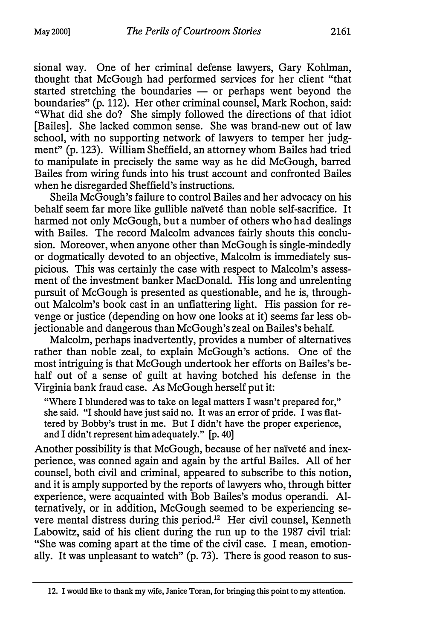sional way. One of her criminal defense lawyers, Gary Kohlman, thought that McGough had performed services for her client "that started stretching the boundaries  $-$  or perhaps went beyond the boundaries" (p. 112). Her other criminal counsel, Mark Rochon, said: "What did she do? She simply followed the directions of that idiot [Bailes]. She lacked common sense. She was brand-new out of law school, with no supporting network of lawyers to temper her judgment" (p. 123). William Sheffield, an attorney whom Bailes had tried to manipulate in precisely the same way as he did McGough, barred Bailes from wiring funds into his trust account and confronted Bailes when he disregarded Sheffield's instructions.

Sheila McGough's failure to control Bailes and her advocacy on his behalf seem far more like gullible naïveté than noble self-sacrifice. It harmed not only McGough, but a number of others who had dealings with Bailes. The record Malcolm advances fairly shouts this conclusion. Moreover, when anyone other than McGough is single-mindedly or dogmatically devoted to an objective, Malcolm is immediately suspicious. This was certainly the case with respect to Malcolm's assessment of the investment banker MacDonald. His long and unrelenting pursuit of McGough is presented as questionable, and he is, throughout Malcolm's book cast in an unflattering light. His passion for revenge or justice (depending on how one looks at it) seems far less objectionable and dangerous than McGough's zeal on Bailes's behalf.

Malcolm, perhaps inadvertently, provides a number of alternatives rather than noble zeal, to explain McGough's actions. One of the most intriguing is that McGough undertook her efforts on Bailes's behalf out of a sense of guilt at having botched his defense in the Virginia bank fraud case. As McGough herself put it:

"Where I blundered was to take on legal matters I wasn't prepared for," she said. "I should have just said no. It was an error of pride. I was flattered by Bobby's trust in me. But I didn't have the proper experience, and I didn't represent him adequately." [p. 40]

Another possibility is that McGough, because of her naïveté and inexperience, was conned again and again by the artful Bailes. All of her counsel, both civil and criminal, appeared to subscribe to this notion, and it is amply supported by the reports of lawyers who, through bitter experience, were acquainted with Bob Bailes's modus operandi. Alternatively, or in addition, McGough seemed to be experiencing severe mental distress during this period.<sup>12</sup> Her civil counsel, Kenneth Labowitz, said of his client during the run up to the 1987 civil trial: "She was coming apart at the time of the civil case. I mean, emotionally. It was unpleasant to watch" (p. 73). There is good reason to sus-

<sup>12.</sup> I would like to thank my wife, Janice Toran, for bringing this point to my attention.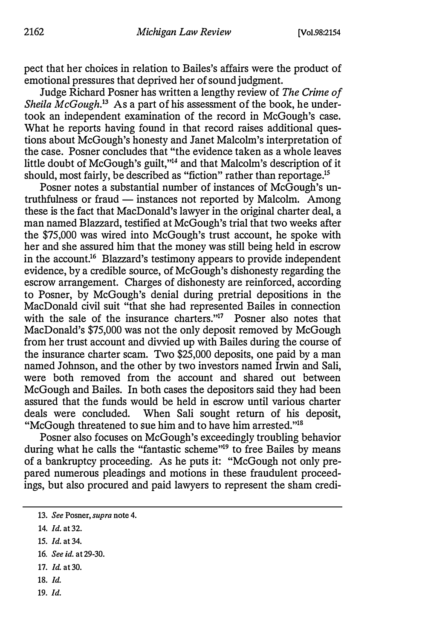pect that her choices in relation to Bailes's affairs were the product of emotional pressures that deprived her of sound judgment.

Judge Richard Posner has written a lengthy review of The Crime of Sheila  $McGough$ <sup>13</sup> As a part of his assessment of the book, he undertook an independent examination of the record in McGough's case. What he reports having found in that record raises additional questions about McGough's honesty and Janet Malcolm's interpretation of the case. Posner concludes that "the evidence taken as a whole leaves little doubt of McGough's guilt,"14 and that Malcolm's description of it should, most fairly, be described as "fiction" rather than reportage.<sup>15</sup>

Posner notes a substantial number of instances of McGough's untruthfulness or fraud — instances not reported by Malcolm. Among these is the fact that MacDonald's lawyer in the original charter deal, a man named Blazzard, testified at McGough's trial that two weeks after the \$75,000 was wired into McGough's trust account, he spoke with her and she assured him that the money was still being held in escrow in the account.<sup>16</sup> Blazzard's testimony appears to provide independent evidence, by a credible source, of McGough's dishonesty regarding the escrow arrangement. Charges of dishonesty are reinforced, according to Posner, by McGough's denial during pretrial depositions in the MacDonald civil suit "that she had represented Bailes in connection with the sale of the insurance charters."<sup>17</sup> Posner also notes that MacDonald's \$75,000 was not the only deposit removed by McGough from her trust account and divvied up with Bailes during the course of the insurance charter scam. Two \$25,000 deposits, one paid by a man named Johnson, and the other by two investors named Irwin and Sali, were both removed from the account and shared out between McGough and Bailes. In both cases the depositors said they had been assured that the funds would be held in escrow until various charter deals were concluded. When Sali sought return of his deposit, "McGough threatened to sue him and to have him arrested."18

Posner also focuses on McGough's exceedingly troubling behavior during what he calls the "fantastic scheme"<sup>19</sup> to free Bailes by means of a bankruptcy proceeding. As he puts it: "McGough not only prepared numerous pleadings and motions in these fraudulent proceedings, but also procured and paid lawyers to represent the sham credi-

- 15. Id. at 34.
- 16. See id. at 29-30.
- 17. Id. at 30.
- 18. Id.
- 19. Id.

<sup>13.</sup> See Posner, supra note 4.

<sup>14.</sup> Id. at 32.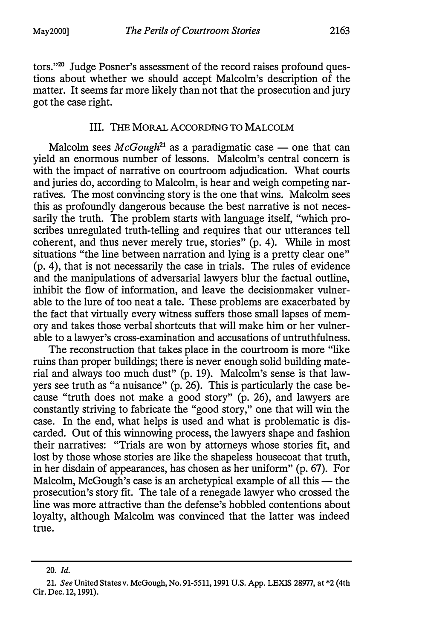tors."20 Judge Posner's assessment of the record raises profound questions about whether we should accept Malcolm's description of the matter. It seems far more likely than not that the prosecution and jury got the case right.

#### III. THE MORAL ACCORDING TO MALCOLM

Malcolm sees  $McGough^{21}$  as a paradigmatic case — one that can yield an enormous number of lessons. Malcolm's central concern is with the impact of narrative on courtroom adjudication. What courts and juries do, according to Malcolm, is hear and weigh competing narratives. The most convincing story is the one that wins. Malcolm sees this as profoundly dangerous because the best narrative is not necessarily the truth. The problem starts with language itself, "which proscribes unregulated truth-telling and requires that our utterances tell coherent, and thus never merely true, stories" (p. 4). While in most situations "the line between narration and lying is a pretty clear one" (p. 4), that is not necessarily the case in trials. The rules of evidence and the manipulations of adversarial lawyers blur the factual outline, inhibit the flow of information, and leave the decisionmaker vulnerable to the lure of too neat a tale. These problems are exacerbated by the fact that virtually every witness suffers those small lapses of memory and takes those verbal shortcuts that will make him or her vulnerable to a lawyer's cross-examination and accusations of untruthfulness.

The reconstruction that takes place in the courtroom is more "like ruins than proper buildings; there is never enough solid building material and always too much dust" (p. 19). Malcolm's sense is that lawyers see truth as "a nuisance" (p. 26). This is particularly the case because "truth does not make a good story" (p. 26), and lawyers are constantly striving to fabricate the "good story," one that will win the case. In the end, what helps is used and what is problematic is discarded. Out of this winnowing process, the lawyers shape and fashion their narratives: "Trials are won by attorneys whose stories fit, and lost by those whose stories are like the shapeless housecoat that truth, in her disdain of appearances, has chosen as her uniform" (p. 67). For Malcolm, McGough's case is an archetypical example of all this  $-$  the prosecution's story fit. The tale of a renegade lawyer who crossed the line was more attractive than the defense's hobbled contentions about loyalty, although Malcolm was convinced that the latter was indeed true.

<sup>20.</sup> Id.

<sup>21.</sup> See United States v. McGough, No. 91-5511, 1991 U.S. App. LEXIS 28977, at \*2 (4th Cir. Dec. 12, 1991).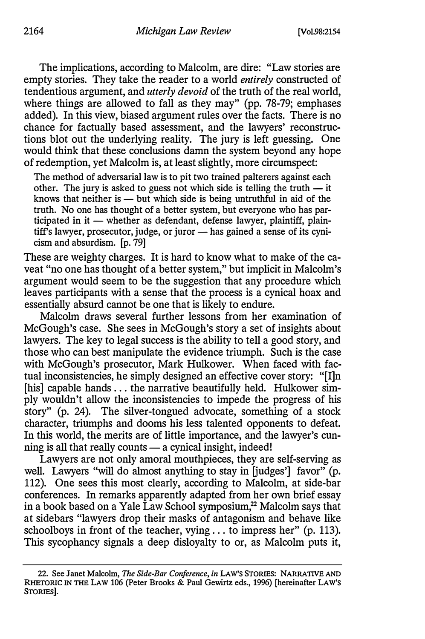The implications, according to Malcolm, are dire: "Law stories are empty stories. They take the reader to a world *entirely* constructed of tendentious argument, and *utterly devoid* of the truth of the real world, where things are allowed to fall as they may" (pp. 78-79; emphases added). In this view, biased argument rules over the facts. There is no chance for factually based assessment, and the lawyers' reconstructions blot out the underlying reality. The jury is left guessing. One would think that these conclusions damn the system beyond any hope of redemption, yet Malcolm is, at least slightly, more circumspect:

The method of adversarial law is to pit two trained palterers against each other. The jury is asked to guess not which side is telling the truth  $-$  it knows that neither is  $-$  but which side is being untruthful in aid of the truth. No one has thought of a better system, but everyone who has participated in it — whether as defendant, defense lawyer, plaintiff, plaintiff's lawyer, prosecutor, judge, or juror - has gained a sense of its cynicism and absurdism. [p. 79]

These are weighty charges. It is hard to know what to make of the caveat "no one has thought of a better system," but implicit in Malcolm's argument would seem to be the suggestion that any procedure which leaves participants with a sense that the process is a cynical hoax and essentially absurd cannot be one that is likely to endure.

Malcolm draws several further lessons from her examination of McGough's case. She sees in McGough's story a set of insights about lawyers. The key to legal success is the ability to tell a good story, and those who can best manipulate the evidence triumph. Such is the case with McGough's prosecutor, Mark Hulkower. When faced with factual inconsistencies, he simply designed an effective cover story: "[I]n [his] capable hands ... the narrative beautifully held. Hulkower simply wouldn't allow the inconsistencies to impede the progress of his story" (p. 24). The silver-tongued advocate, something of a stock character, triumphs and dooms his less talented opponents to defeat. In this world, the merits are of little importance, and the lawyer's cunning is all that really counts — a cynical insight, indeed!

Lawyers are not only amoral mouthpieces, they are self-serving as well. Lawyers "will do almost anything to stay in [judges'] favor" (p. 112). One sees this most clearly, according to Malcolm, at side-bar conferences. In remarks apparently adapted from her own brief essay in a book based on a Yale Law School symposium,<sup>22</sup> Malcolm says that at sidebars "lawyers drop their masks of antagonism and behave like schoolboys in front of the teacher, vying  $\dots$  to impress her" (p. 113). This sycophancy signals a deep disloyalty to or, as Malcolm puts it,

<sup>22.</sup> See Janet Malcolm, The Side-Bar Conference, in LAW'S STORIES: NARRATIVE AND RHETORIC IN THE LAW 106 (Peter Brooks & Paul Gewirtz eds., 1996) [hereinafter LA W'S STORIES].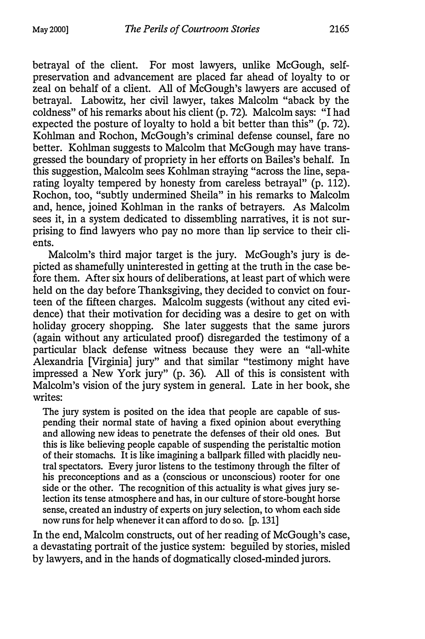betrayal of the client. For most lawyers, unlike McGough, selfpreservation and advancement are placed far ahead of loyalty to or zeal on behalf of a client. All of McGough's lawyers are accused of betrayal. Labowitz, her civil lawyer, takes Malcolm "aback by the coldness" of his remarks about his client (p. 72). Malcolm says: "I had expected the posture of loyalty to hold a bit better than this" (p. 72). Kohlman and Rochon, McGough's criminal defense counsel, fare no better. Kohlman suggests to Malcolm that McGough may have transgressed the boundary of propriety in her efforts on Bailes's behalf. In this suggestion, Malcolm sees Kohlman straying "across the line, separating loyalty tempered by honesty from careless betrayal" (p. 112). Rochon, too, "subtly undermined Sheila" in his remarks to Malcolm and, hence, joined Kohlman in the ranks of betrayers. As Malcolm sees it, in a system dedicated to dissembling narratives, it is not surprising to find lawyers who pay no more than lip service to their clients.

Malcolm's third major target is the jury. McGough's jury is depicted as shamefully uninterested in getting at the truth in the case before them. After six hours of deliberations, at least part of which were held on the day before Thanksgiving, they decided to convict on fourteen of the fifteen charges. Malcolm suggests (without any cited evidence) that their motivation for deciding was a desire to get on with holiday grocery shopping. She later suggests that the same jurors (again without any articulated proof) disregarded the testimony of a particular black defense witness because they were an "all-white Alexandria [Virginia] jury" and that similar "testimony might have impressed a New York jury" (p. 36). All of this is consistent with Malcolm's vision of the jury system in general. Late in her book, she writes:

The jury system is posited on the idea that people are capable of suspending their normal state of having a fixed opinion about everything and allowing new ideas to penetrate the defenses of their old ones. But this is like believing people capable of suspending the peristaltic motion of their stomachs. It is like imagining a ballpark filled with placidly neutral spectators. Every juror listens to the testimony through the filter of his preconceptions and as a (conscious or unconscious) rooter for one side or the other. The recognition of this actuality is what gives jury selection its tense atmosphere and has, in our culture of store-bought horse sense, created an industry of experts on jury selection, to whom each side now runs for help whenever it can afford to do so. [p. 131]

In the end, Malcolm constructs, out of her reading of McGough's case, a devastating portrait of the justice system: beguiled by stories, misled by lawyers, and in the hands of dogmatically closed-minded jurors.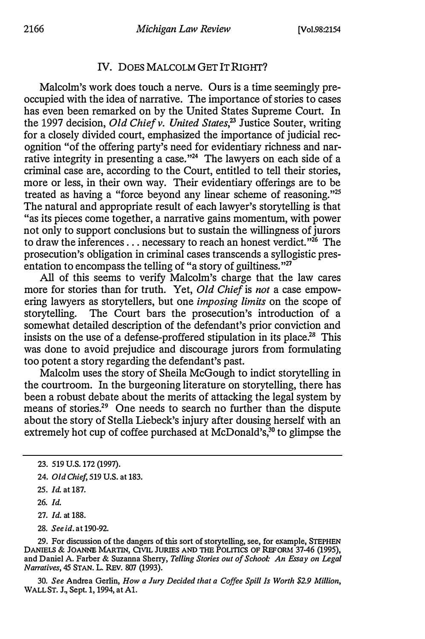### IV. DOES MALCOLM GET IT RIGHT?

Malcolm's work does touch a nerve. Ours is a time seemingly preoccupied with the idea of narrative. The importance of stories to cases has even been remarked on by the United States Supreme Court. In the 1997 decision, Old Chief v. United States,<sup>23</sup> Justice Souter, writing for a closely divided court, emphasized the importance of judicial recognition "of the offering party's need for evidentiary richness and narrative integrity in presenting a case."<sup>24</sup> The lawyers on each side of a criminal case are, according to the Court, entitled to tell their stories, more or less, in their own way. Their evidentiary offerings are to be treated as having a "force beyond any linear scheme of reasoning. "25 The natural and appropriate result of each lawyer's storytelling is that "as its pieces come together, a narrative gains momentum, with power not only to support conclusions but to sustain the willingness of jurors to draw the inferences  $\dots$  necessary to reach an honest verdict."<sup>26</sup> The prosecution's obligation in criminal cases transcends a syllogistic presentation to encompass the telling of "a story of guiltiness."<sup>27</sup>

All of this seems to verify Malcolm's charge that the law cares more for stories than for truth. Yet, Old Chief is not a case empowering lawyers as storytellers, but one *imposing limits* on the scope of storytelling. The Court bars the prosecution's introduction of a somewhat detailed description of the defendant's prior conviction and insists on the use of a defense-proffered stipulation in its place.<sup>28</sup> This was done to avoid prejudice and discourage jurors from formulating too potent a story regarding the defendant's past.

Malcolm uses the story of Sheila McGough to indict storytelling in the courtroom. In the burgeoning literature on storytelling, there has been a robust debate about the merits of attacking the legal system by means of stories.<sup>29</sup> One needs to search no further than the dispute about the story of Stella Liebeck's injury after dousing herself with an extremely hot cup of coffee purchased at McDonald's, $30$  to glimpse the

30. See Andrea Gerlin, How a Jury Decided that a Coffee Spill ls Worth \$2.9 Million, WALL ST. J., Sept. 1, 1994, at Al.

<sup>23. 519</sup> U.S. 172 (1997).

<sup>24.</sup> Old Chief, 519 U.S. at 183.

<sup>25.</sup> Id. at 187.

<sup>26.</sup> Id.

<sup>27.</sup> Id. at 188.

<sup>28.</sup> See id. at 190·92.

<sup>29.</sup> For discussion of the dangers of this sort of storytelling, see, for example, STEPHEN DANIELS & JOANNE MARTIN, CIVIL JURIES AND THE POLITICS OF REFORM 37-46 (1995), and Daniel A. Farber & Suzanna Sherry, Telling Stories out of School: An Essay on Legal Narratives, 45 STAN. L. REV. 807 (1993).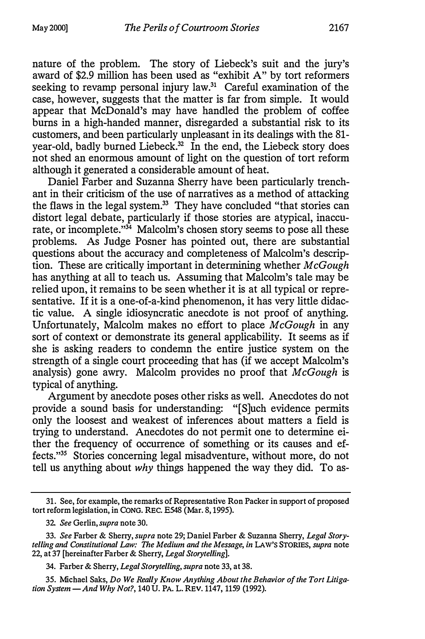nature of the problem. The story of Liebeck's suit and the jury's award of \$2.9 million has been used as "exhibit A" by tort reformers seeking to revamp personal injury law. $31$  Careful examination of the case, however, suggests that the matter is far from simple. It would appear that McDonald's may have handled the problem of coffee burns in a high-handed manner, disregarded a substantial risk to its customers, and been particularly unpleasant in its dealings with the 81 year-old, badly burned Liebeck.<sup>32</sup> In the end, the Liebeck story does not shed an enormous amount of light on the question of tort reform although it generated a considerable amount of heat.

Daniel Farber and Suzanna Sherry have been particularly trenchant in their criticism of the use of narratives as a method of attacking the flaws in the legal system.<sup>33</sup> They have concluded "that stories can distort legal debate, particularly if those stories are atypical, inaccurate, or incomplete."<sup>34</sup> Malcolm's chosen story seems to pose all these problems. As Judge Posner has pointed out, there are substantial questions about the accuracy and completeness of Malcolm's description. These are critically important in determining whether  $McGough$ has anything at all to teach us. Assuming that Malcolm's tale may be relied upon, it remains to be seen whether it is at all typical or representative. If it is a one-of-a-kind phenomenon, it has very little didactic value. A single idiosyncratic anecdote is not proof of anything. Unfortunately, Malcolm makes no effort to place McGough in any sort of context or demonstrate its general applicability. It seems as if she is asking readers to condemn the entire justice system on the strength of a single court proceeding that has (if we accept Malcolm's analysis) gone awry. Malcolm provides no proof that  $McGough$  is typical of anything.

Argument by anecdote poses other risks as well. Anecdotes do not provide a sound basis for understanding: "[S]uch evidence permits only the loosest and weakest of inferences about matters a field is trying to understand. Anecdotes do not permit one to determine either the frequency of occurrence of something or its causes and effects."35 Stories concerning legal misadventure, without more, do not tell us anything about why things happened the way they did. To as-

<sup>31.</sup> See, for example, the remarks of Representative Ron Packer in support of proposed tort reform legislation, in CONG. REC. E548 (Mar. 8, 1995).

<sup>32</sup> See Gerlin, supra note 30.

<sup>33.</sup> See Farber & Sherry, supra note 29; Daniel Farber & Suzanna Sherry, Legal Storytelling and Constitutional Law: The Medium and the Message, in LAW'S STORIES, supra note 22, at 37 [hereinafter Farber & Sherry, Legal Storytelling].

<sup>34.</sup> Farber & Sherry, Legal Storytelling, supra note 33, at 38.

<sup>35.</sup> Michael Saks, Do We Really Know Anything About the Behavior of the Tort Litigation System - And Why Not?, 140 U. PA. L. REV. 1147, 1159 (1992).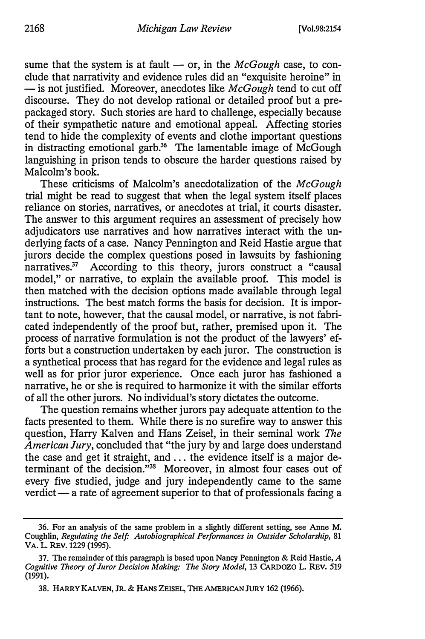sume that the system is at fault  $-$  or, in the *McGough* case, to conclude that narrativity and evidence rules did an "exquisite heroine" in  $-$  is not justified. Moreover, anecdotes like McGough tend to cut off discourse. They do not develop rational or detailed proof but a prepackaged story. Such stories are hard to challenge, especially because of their sympathetic nature and emotional appeal. Affecting stories tend to hide the complexity of events and clothe important questions in distracting emotional garb.<sup>36</sup> The lamentable image of McGough languishing in prison tends to obscure the harder questions raised by Malcolm's book.

These criticisms of Malcolm's anecdotalization of the McGough trial might be read to suggest that when the legal system itself places reliance on stories, narratives, or anecdotes at trial, it courts disaster. The answer to this argument requires an assessment of precisely how adjudicators use narratives and how narratives interact with the underlying facts of a case. Nancy Pennington and Reid Hastie argue that jurors decide the complex questions posed in lawsuits by fashioning narratives.<sup>37</sup> According to this theory, jurors construct a "causal model," or narrative, to explain the available proof. This model is then matched with the decision options made available through legal instructions. The best match forms the basis for decision. It is important to note, however, that the causal model, or narrative, is not fabricated independently of the proof but, rather, premised upon it. The process of narrative formulation is not the product of the lawyers' efforts but a construction undertaken by each juror. The construction is a synthetical process that has regard for the evidence and legal rules as well as for prior juror experience. Once each juror has fashioned a narrative, he or she is required to harmonize it with the similar efforts of all the other jurors. No individual's story dictates the outcome.

The question remains whether jurors pay adequate attention to the facts presented to them. While there is no surefire way to answer this question, Harry Kalven and Hans Zeisel, in their seminal work The American Jury, concluded that "the jury by and large does understand the case and get it straight, and ... the evidence itself is a major determinant of the decision."38 Moreover, in almost four cases out of every five studied, judge and jury independently came to the same  $verdict - a rate of agreement superior to that of professionals facing a$ 

<sup>36.</sup> For an analysis of the same problem in a slightly different setting, see Anne M. Coughlin, Regulating the Self: Autobiographical Performances in Outsider Scholarship, 81 VA. L. REV. 1229 {1995).

<sup>37.</sup> The remainder of this paragraph is based upon Nancy Pennington & Reid Hastie, A Cognitive Theory of Juror Decision Making: The Story Model, 13 CARDOZO L. REV. 519  $(1991).$ 

<sup>38.</sup> HARRY KALVEN, JR. & HANS ZEISEL, THE AMERICAN JURY 162 (1966).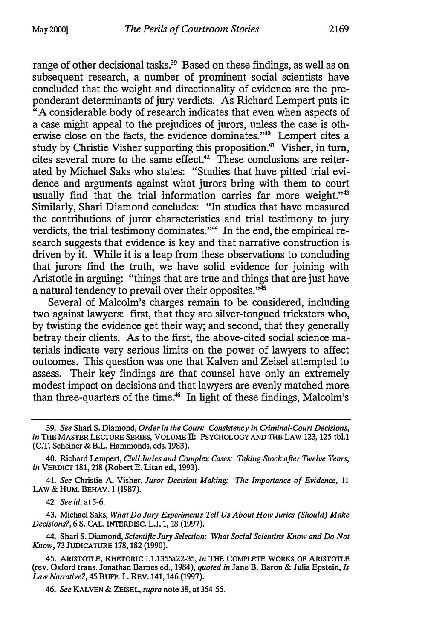range of other decisional tasks.<sup>39</sup> Based on these findings, as well as on subsequent research, a number of prominent social scientists have concluded that the weight and directionality of evidence are the preponderant determinants of jury verdicts. As Richard Lempert puts it: "A considerable body of research indicates that even when aspects of a case might appeal to the prejudices of jurors, unless the case is otherwise close on the facts, the evidence dominates."40 Lempert cites a study by Christie Visher supporting this proposition.<sup>41</sup> Visher, in turn, cites several more to the same effect.<sup>42</sup> These conclusions are reiterated by Michael Saks who states: "Studies that have pitted trial evidence and arguments against what jurors bring with them to court usually find that the trial information carries far more weight."<sup>43</sup> Similarly, Shari Diamond concludes: "In studies that have measured the contributions of juror characteristics and trial testimony to jury verdicts, the trial testimony dominates."<sup>44</sup> In the end, the empirical research suggests that evidence is key and that narrative construction is driven by it. While it is a leap from these observations to concluding that jurors find the truth, we have solid evidence for joining with Aristotle in arguing: "things that are true and things that are just have a natural tendency to prevail over their opposites."<sup>45</sup>

Several of Malcolm's charges remain to be considered, including two against lawyers: first, that they are silver-tongued tricksters who, by twisting the evidence get their way; and second, that they generally betray their clients. As to the first, the above-cited social science materials indicate very serious limits on the power of lawyers to affect outcomes. This question was one that Kalven and Zeisel attempted to assess. Their key findings are that counsel have only an extremely modest impact on decisions and that lawyers are evenly matched more than three-quarters of the time.46 In light of these findings, Malcolm's

39. See Shari S. Diamond, Order in the Court: Consistency in Criminal-Court Decisions, in THE MASTER LECTURE SERIES, VOLUME II: PSYCHOLOGY AND THE LAW 123, 125 tbl.1 (C.T. Scheiner & B.L. Hammonds, eds. 1983).

40. Richard Lempert, Civil Juries and Complex Cases: Taking Stock after Twelve Years, in VERDICT 181, 218 (Robert E. Litan ed., 1993).

41. See Christie A. Visher, Juror Decision Making: The Importance of Evidence, 11 LAW & HUM. BEHAV. 1 (1987).

42 See id. at 5-6.

43. Michael Saks, What Do Jury Experiments Tell Us About How Juries (Should) Make Decisions?, 6 S. CAL. INTERDISC. L.J. l, 18 (1997).

44. Shari S. Diamond, Scientific Jury Selection: What Social Scientists Know and Do Not Know, 73 JUDICATURE 178, 182 (1990).

45. ARISTOTLE, RHETORIC l.1.1355a22-35, in THE COMPLETE WORKS OF ARISTOTLE (rev. Oxford trans. Jonathan Barnes ed., 1984), quoted in Jane B. Baron & Julia Epstein, ls Law Narrative?, 45 BUFF. L. REV. 141, 146 (1997).

46. See KALVEN & ZEISEL, supra note 38, at354-55.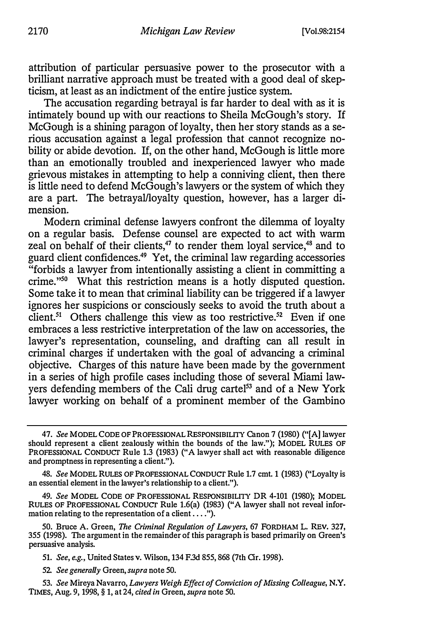attribution of particular persuasive power to the prosecutor with a brilliant narrative approach must be treated with a good deal of skepticism, at least as an indictment of the entire justice system.

The accusation regarding betrayal is far harder to deal with as it is intimately bound up with our reactions to Sheila McGough's story. If McGough is a shining paragon of loyalty, then her story stands as a serious accusation against a legal profession that cannot recognize nobility or abide devotion. If, on the other hand, McGough is little more than an emotionally troubled and inexperienced lawyer who made grievous mistakes in attempting to help a conniving client, then there is little need to defend McGough's lawyers or the system of which they are a part. The betrayal/loyalty question, however, has a larger dimension.

Modem criminal defense lawyers confront the dilemma of loyalty on a regular basis. Defense counsel are expected to act with warm zeal on behalf of their clients, $47$  to render them loyal service, $48$  and to guard client confidences.49 Yet, the criminal law regarding accessories "forbids a lawyer from intentionally assisting a client in committing a crime."50 What this restriction means is a hotly disputed question. Some take it to mean that criminal liability can be triggered if a lawyer ignores her suspicions or consciously seeks to avoid the truth about a client.<sup>51</sup> Others challenge this view as too restrictive.<sup>52</sup> Even if one embraces a less restrictive interpretation of the law on accessories, the lawyer's representation, counseling, and drafting can all result in criminal charges if undertaken with the goal of advancing a criminal objective. Charges of this nature have been made by the government in a series of high profile cases including those of several Miami lawyers defending members of the Cali drug cartel<sup>53</sup> and of a New York lawyer working on behalf of a prominent member of the Gambino

49. See MODEL CODE OF PROFESSIONAL RESPONSIBILITY DR 4-101 (1980); MODEL RULES OF PROFESSIONAL CONDUCT Rule 1.6(a) (1983) ("A lawyer shall not reveal information relating to the representation of a client . . . . ").

50. Bruce A. Green, The Criminal Regulation of Lawyers, 67 FORDHAM L. REV. 327, 355 (1998). The argument in the remainder of this paragraph is based primarily on Green's persuasive analysis.

<sup>47.</sup> See MODEL CODE OF PROFESSIONAL RESPONSIBILITY Canon 7 (1980) ("[A] lawyer should represent a client zealously within the bounds of the law."); MODEL RULES OF PROFESSIONAL CONDUCT Rule 1.3 (1983) ("A lawyer shall act with reasonable diligence and promptness in representing a client.").

<sup>48.</sup> See MODEL RULES OF PROFESSIONAL CONDUCT Rule 1.7 cmt. 1 {1983) ("Loyalty is an essential element in the lawyer's relationship to a client.").

<sup>51.</sup> See, e.g., United States v. Wilson, 134 F.3d 855, 868 (7th Cir. 1998).

<sup>52.</sup> See generally Green, supra note 50.

<sup>53.</sup> See Mireya Navarro, Lawyers Weigh Effect of Conviction of Missing Colleague, N.Y. TIMES, Aug. 9, 1998, § 1, at 24, cited in Green, supra note 50.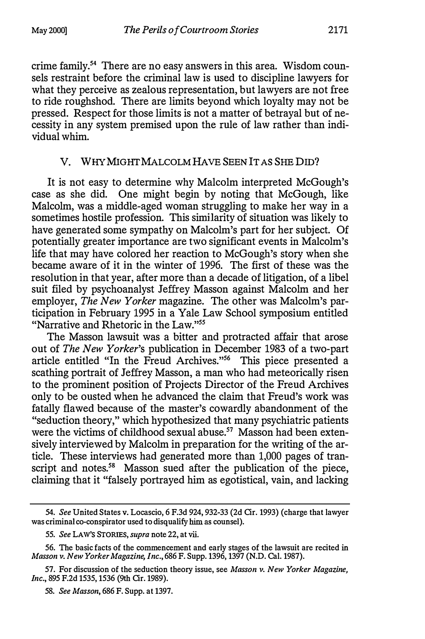crime family.54 There are no easy answers in this area. Wisdom counsels restraint before the criminal law is used to discipline lawyers for what they perceive as zealous representation, but lawyers are not free to ride roughshod. There are limits beyond which loyalty may not be pressed. Respect for those limits is not a matter of betrayal but of necessity in any system premised upon the rule of law rather than individual whim.

#### V. WHY MIGHT MALCOLM HA VE SEEN IT AS SHE DID?

It is not easy to determine why Malcolm interpreted McGough's case as she did. One might begin by noting that McGough, like Malcolm, was a middle-aged woman struggling to make her way in a sometimes hostile profession. This similarity of situation was likely to have generated some sympathy on Malcolm's part for her subject. Of potentially greater importance are two significant events in Malcolm's life that may have colored her reaction to McGough's story when she became aware of it in the winter of 1996. The first of these was the resolution in that year, after more than a decade of litigation, of a libel suit filed by psychoanalyst Jeffrey Masson against Malcolm and her employer, The New Yorker magazine. The other was Malcolm's participation in February 1995 in a Yale Law School symposium entitled "Narrative and Rhetoric in the Law."55

The Masson lawsuit was a bitter and protracted affair that arose out of The New Yorker's publication in December 1983 of a two-part article entitled "In the Freud Archives."56 This piece presented a scathing portrait of Jeffrey Masson, a man who had meteorically risen to the prominent position of Projects Director of the Freud Archives only to be ousted when he advanced the claim that Freud's work was fatally flawed because of the master's cowardly abandonment of the "seduction theory," which hypothesized that many psychiatric patients were the victims of childhood sexual abuse.<sup>57</sup> Masson had been extensively interviewed by Malcolm in preparation for the writing of the article. These interviews had generated more than 1,000 pages of transcript and notes.<sup>58</sup> Masson sued after the publication of the piece, claiming that it "falsely portrayed him as egotistical, vain, and lacking

<sup>54.</sup> See United States v. Locascio, 6 F.3d 924, 932-33 (2d Cir. 1993) (charge that lawyer was criminal co-conspirator used to disqualify him as counsel).

<sup>55.</sup> See LAW'S STORIES, supra note 22, at vii.

<sup>56.</sup> The basic facts of the commencement and early stages of the lawsuit are recited in Masson v. New Yorker Magazine, Inc., 686 F. Supp. 1396, 1397 (N.D. Cal. 1987).

<sup>57.</sup> For discussion of the seduction theory issue, see Masson v. New Yorker Magazine, Inc., 895 F.2d 1535, 1536 (9th Cir. 1989).

<sup>58.</sup> See Masson, 686 F. Supp. at 1397.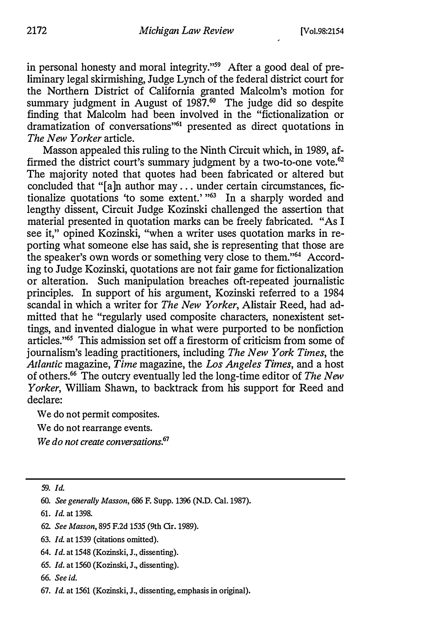in personal honesty and moral integrity."59 After a good deal of preliminary legal skirmishing, Judge Lynch of the federal district court for the Northern District of California granted Malcolm's motion for summary judgment in August of  $1987<sup>60</sup>$  The judge did so despite finding that Malcolm had been involved in the "fictionalization or dramatization of conversations"61 presented as direct quotations in The New Yorker article.

Masson appealed this ruling to the Ninth Circuit which, in 1989, affirmed the district court's summary judgment by a two-to-one vote. $62$ The majority noted that quotes had been fabricated or altered but concluded that "[a]n author may ... under certain circumstances, fictionalize quotations 'to some extent.' "63 In a sharply worded and lengthy dissent, Circuit Judge Kozinski challenged the assertion that material presented in quotation marks can be freely fabricated. "As I see it," opined Kozinski, "when a writer uses quotation marks in reporting what someone else has said, she is representing that those are the speaker's own words or something very close to them."64 According to Judge Kozinski, quotations are not fair game for fictionalization or alteration. Such manipulation breaches oft-repeated journalistic principles. In support of his argument, Kozinski referred to a 1984 scandal in which a writer for The New Yorker, Alistair Reed, had admitted that he "regularly used composite characters, nonexistent settings, and invented dialogue in what were purported to be nonfiction articles."65 This admission set off a firestorm of criticism from some of journalism's leading practitioners, including The New York Times, the Atlantic magazine, Time magazine, the Los Angeles Times, and a host of others.66 The outcry eventually led the long-time editor of The New Yorker, William Shawn, to backtrack from his support for Reed and declare:

We do not permit composites.

We do not rearrange events.

We do not create conversations.<sup>67</sup>

59. Id.

- 60. See generally Masson, 686 F. Supp. 1396 (N.D. Cal. 1987).
- 61. Id. at 1398.
- 62 See Masson, 895 F.2d 1535 (9th Cir. 1989).
- 63. Id. at 1539 (citations omitted).
- 64. Id. at 1548 (Kozinski, J., dissenting).
- 65. Id. at 1560 (Kozinski, J., dissenting).
- 66. See id.
- 67. Id. at 1561 (Kozinski, J., dissenting, emphasis in original).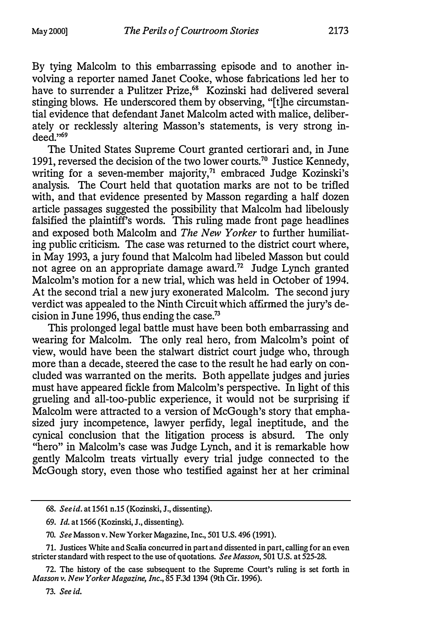By tying Malcolm to this embarrassing episode and to another involving a reporter named Janet Cooke, whose fabrications led her to have to surrender a Pulitzer Prize,<sup>68</sup> Kozinski had delivered several stinging blows. He underscored them by observing, "[t]he circumstantial evidence that defendant Janet Malcolm acted with malice, deliberately or recklessly altering Masson's statements, is very strong indeed."69

The United States Supreme Court granted certiorari and, in June 1991, reversed the decision of the two lower courts.<sup>70</sup> Justice Kennedy, writing for a seven-member majority,<sup>71</sup> embraced Judge Kozinski's analysis. The Court held that quotation marks are not to be trifled with, and that evidence presented by Masson regarding a half dozen article passages suggested the possibility that Malcolm had libelously falsified the plaintiff's words. This ruling made front page headlines and exposed both Malcolm and The New Yorker to further humiliating public criticism. The case was returned to the district court where, in May 1993, a jury found that Malcolm had libeled Masson but could not agree on an appropriate damage award.72 Judge Lynch granted Malcolm's motion for a new trial, which was held in October of 1994. At the second trial a new jury exonerated Malcolm. The second jury verdict was appealed to the Ninth Circuit which affirmed the jury's decision in June 1996, thus ending the case.<sup>73</sup>

This prolonged legal battle must have been both embarrassing and wearing for Malcolm. The only real hero, from Malcolm's point of view, would have been the stalwart district court judge who, through more than a decade, steered the case to the result he had early on concluded was warranted on the merits. Both appellate judges and juries must have appeared fickle from Malcolm's perspective. In light of this grueling and all-too-public experience, it would not be surprising if Malcolm were attracted to a version of McGough's story that emphasized jury incompetence, lawyer perfidy, legal ineptitude, and the cynical conclusion that the litigation process is absurd. The only "hero" in Malcolm's case was Judge Lynch, and it is remarkable how gently Malcolm treats virtually every trial judge connected to the McGough story, even those who testified against her at her criminal

<sup>68.</sup> See id. at 1561 n.15 (Kozinski, J., dissenting).

<sup>69.</sup> Id. at 1566 (Kozinski, J., dissenting).

<sup>70.</sup> See Masson v. New Yorker Magazine, Inc., 501 U.S. 496 (1991 ).

<sup>71.</sup> Justices White and Scalia concurred in part and dissented in part, calling for an even stricter standard with respect to the use of quotations. See Masson, 501 U.S. at 525-28.

<sup>72.</sup> The history of the case subsequent to the Supreme Court's ruling is set forth in Masson v. New Yorker Magazine, Inc., 85 F.3d 1394 (9th Cir. 1996).

<sup>73.</sup> See id.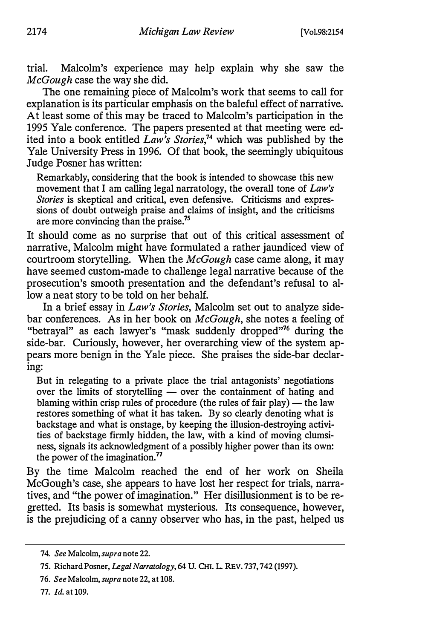trial. Malcolm's experience may help explain why she saw the McGough case the way she did.

The one remaining piece of Malcolm's work that seems to call for explanation is its particular emphasis on the baleful effect of narrative. At least some of this may be traced to Malcolm's participation in the 1995 Yale conference. The papers presented at that meeting were edited into a book entitled  $Law^s$ s Stories,<sup>74</sup> which was published by the Yale University Press in 1996. Of that book, the seemingly ubiquitous Judge Posner has written:

Remarkably, considering that the book is intended to showcase this new movement that I am calling legal narratology, the overall tone of Law's Stories is skeptical and critical, even defensive. Criticisms and expressions of doubt outweigh praise and claims of insight, and the criticisms are more convincing than the praise.75

It should come as no surprise that out of this critical assessment of narrative, Malcolm might have formulated a rather jaundiced view of courtroom storytelling. When the McGough case came along, it may have seemed custom-made to challenge legal narrative because of the prosecution's smooth presentation and the defendant's refusal to allow a neat story to be told on her behalf.

In a brief essay in Law's Stories, Malcolm set out to analyze sidebar conferences. As in her book on McGough, she notes a feeling of "betrayal" as each lawyer's "mask suddenly dropped"<sup>76</sup> during the side-bar. Curiously, however, her overarching view of the system appears more benign in the Yale piece. She praises the side-bar declaring:

But in relegating to a private place the trial antagonists' negotiations over the limits of storytelling - over the containment of hating and blaming within crisp rules of procedure (the rules of fair play)  $-$  the law restores something of what it has taken. By so clearly denoting what is backstage and what is onstage, by keeping the illusion-destroying activities of backstage firmly hidden, the law, with a kind of moving clumsiness, signals its acknowledgment of a possibly higher power than its own: the power of the imagination.<sup>77</sup>

By the time Malcolm reached the end of her work on Sheila McGough's case, she appears to have lost her respect for trials, narratives, and "the power of imagination." Her disillusionment is to be regretted. Its basis is somewhat mysterious. Its consequence, however, is the prejudicing of a canny observer who has, in the past, helped us

77. Id. at 109.

<sup>74.</sup> See Malcolm, supra note 22.

<sup>75.</sup> Richard Posner, Legal Narratology, 64 U. CHI. L. REV. 737, 742 (1997).

<sup>76.</sup> See Malcolm, supra note 22, at 108.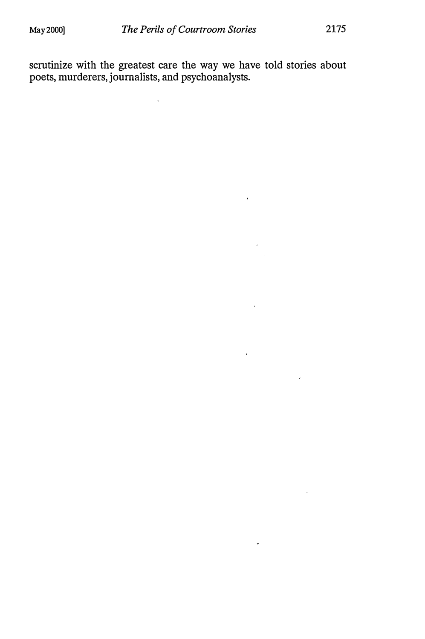scrutinize with the greatest care the way we have told stories about poets, murderers, journalists, and psychoanalysts.

 $\mathcal{L}^{\text{max}}$ 

 $\ddot{\phantom{a}}$ 

 $\mathcal{L}^{\pm}$ 

 $\mathcal{L}^{\text{max}}$  and  $\mathcal{L}^{\text{max}}$ 

 $\overline{\phantom{a}}$ 

ä,